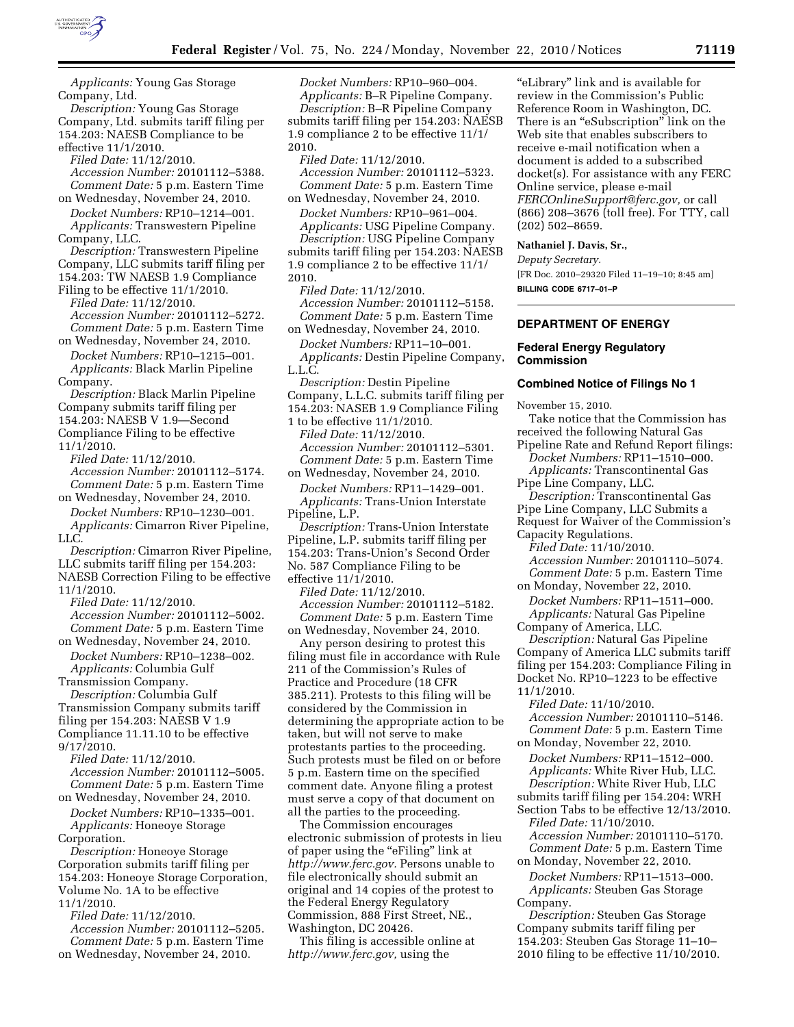

*Description:* Young Gas Storage Company, Ltd. submits tariff filing per 154.203: NAESB Compliance to be effective 11/1/2010.

*Filed Date:* 11/12/2010. *Accession Number:* 20101112–5388. *Comment Date:* 5 p.m. Eastern Time on Wednesday, November 24, 2010.

*Docket Numbers:* RP10–1214–001. *Applicants:* Transwestern Pipeline Company, LLC.

*Description:* Transwestern Pipeline Company, LLC submits tariff filing per 154.203: TW NAESB 1.9 Compliance

Filing to be effective 11/1/2010. *Filed Date:* 11/12/2010.

*Accession Number:* 20101112–5272. *Comment Date:* 5 p.m. Eastern Time on Wednesday, November 24, 2010.

*Docket Numbers:* RP10–1215–001. *Applicants:* Black Marlin Pipeline

Company. *Description:* Black Marlin Pipeline Company submits tariff filing per 154.203: NAESB V 1.9—Second Compliance Filing to be effective 11/1/2010.

*Filed Date:* 11/12/2010. *Accession Number:* 20101112–5174. *Comment Date:* 5 p.m. Eastern Time

on Wednesday, November 24, 2010. *Docket Numbers:* RP10–1230–001. *Applicants:* Cimarron River Pipeline, LLC.

*Description:* Cimarron River Pipeline, LLC submits tariff filing per 154.203:

NAESB Correction Filing to be effective 11/1/2010.

*Filed Date:* 11/12/2010.

*Accession Number:* 20101112–5002. *Comment Date:* 5 p.m. Eastern Time on Wednesday, November 24, 2010.

*Docket Numbers:* RP10–1238–002. *Applicants:* Columbia Gulf Transmission Company.

*Description:* Columbia Gulf

Transmission Company submits tariff filing per 154.203: NAESB V 1.9 Compliance 11.11.10 to be effective

9/17/2010. *Filed Date:* 11/12/2010. *Accession Number:* 20101112–5005. *Comment Date:* 5 p.m. Eastern Time

on Wednesday, November 24, 2010. *Docket Numbers:* RP10–1335–001. *Applicants:* Honeoye Storage

Corporation.

*Description:* Honeoye Storage Corporation submits tariff filing per 154.203: Honeoye Storage Corporation, Volume No. 1A to be effective 11/1/2010.

*Filed Date:* 11/12/2010. *Accession Number:* 20101112–5205. *Comment Date:* 5 p.m. Eastern Time on Wednesday, November 24, 2010.

*Docket Numbers:* RP10–960–004. *Applicants:* B–R Pipeline Company.

*Description:* B–R Pipeline Company submits tariff filing per 154.203: NAESB 1.9 compliance 2 to be effective 11/1/ 2010.

*Filed Date:* 11/12/2010. *Accession Number:* 20101112–5323. *Comment Date:* 5 p.m. Eastern Time on Wednesday, November 24, 2010.

*Docket Numbers:* RP10–961–004. *Applicants:* USG Pipeline Company. *Description:* USG Pipeline Company

submits tariff filing per 154.203: NAESB 1.9 compliance 2 to be effective 11/1/ 2010.

*Filed Date:* 11/12/2010. *Accession Number:* 20101112–5158. *Comment Date:* 5 p.m. Eastern Time on Wednesday, November 24, 2010.

*Docket Numbers:* RP11–10–001. *Applicants:* Destin Pipeline Company, L.L.C.

*Description:* Destin Pipeline Company, L.L.C. submits tariff filing per 154.203: NASEB 1.9 Compliance Filing

1 to be effective 11/1/2010. *Filed Date:* 11/12/2010. *Accession Number:* 20101112–5301. *Comment Date:* 5 p.m. Eastern Time

on Wednesday, November 24, 2010. *Docket Numbers:* RP11–1429–001.

*Applicants:* Trans-Union Interstate Pipeline, L.P.

*Description:* Trans-Union Interstate Pipeline, L.P. submits tariff filing per 154.203: Trans-Union's Second Order No. 587 Compliance Filing to be effective 11/1/2010.

*Filed Date:* 11/12/2010. *Accession Number:* 20101112–5182. *Comment Date:* 5 p.m. Eastern Time on Wednesday, November 24, 2010.

Any person desiring to protest this filing must file in accordance with Rule 211 of the Commission's Rules of Practice and Procedure (18 CFR 385.211). Protests to this filing will be considered by the Commission in determining the appropriate action to be taken, but will not serve to make protestants parties to the proceeding. Such protests must be filed on or before 5 p.m. Eastern time on the specified comment date. Anyone filing a protest must serve a copy of that document on all the parties to the proceeding.

The Commission encourages electronic submission of protests in lieu of paper using the ''eFiling'' link at *[http://www.ferc.gov.](http://www.ferc.gov)* Persons unable to file electronically should submit an original and 14 copies of the protest to the Federal Energy Regulatory Commission, 888 First Street, NE., Washington, DC 20426.

This filing is accessible online at *[http://www.ferc.gov,](http://www.ferc.gov)* using the

''eLibrary'' link and is available for review in the Commission's Public Reference Room in Washington, DC. There is an "eSubscription" link on the Web site that enables subscribers to receive e-mail notification when a document is added to a subscribed docket(s). For assistance with any FERC Online service, please e-mail *[FERCOnlineSupport@ferc.gov,](mailto:FERCOnlineSupport@ferc.gov)* or call (866) 208–3676 (toll free). For TTY, call (202) 502–8659.

### **Nathaniel J. Davis, Sr.,**

*Deputy Secretary.*  [FR Doc. 2010–29320 Filed 11–19–10; 8:45 am] **BILLING CODE 6717–01–P** 

## **DEPARTMENT OF ENERGY**

### **Federal Energy Regulatory Commission**

#### **Combined Notice of Filings No 1**

November 15, 2010.

Take notice that the Commission has received the following Natural Gas Pipeline Rate and Refund Report filings: *Docket Numbers:* RP11–1510–000. *Applicants:* Transcontinental Gas Pipe Line Company, LLC. *Description:* Transcontinental Gas Pipe Line Company, LLC Submits a Request for Waiver of the Commission's Capacity Regulations. *Filed Date:* 11/10/2010. *Accession Number:* 20101110–5074. *Comment Date:* 5 p.m. Eastern Time on Monday, November 22, 2010. *Docket Numbers:* RP11–1511–000. *Applicants:* Natural Gas Pipeline Company of America, LLC. *Description:* Natural Gas Pipeline Company of America LLC submits tariff filing per 154.203: Compliance Filing in Docket No. RP10–1223 to be effective 11/1/2010. *Filed Date:* 11/10/2010. *Accession Number:* 20101110–5146. *Comment Date:* 5 p.m. Eastern Time on Monday, November 22, 2010. *Docket Numbers:* RP11–1512–000. *Applicants:* White River Hub, LLC. *Description:* White River Hub, LLC submits tariff filing per 154.204: WRH Section Tabs to be effective 12/13/2010.

*Filed Date:* 11/10/2010. *Accession Number:* 20101110–5170. *Comment Date:* 5 p.m. Eastern Time on Monday, November 22, 2010.

*Docket Numbers:* RP11–1513–000. *Applicants:* Steuben Gas Storage Company.

*Description:* Steuben Gas Storage Company submits tariff filing per 154.203: Steuben Gas Storage 11–10– 2010 filing to be effective 11/10/2010.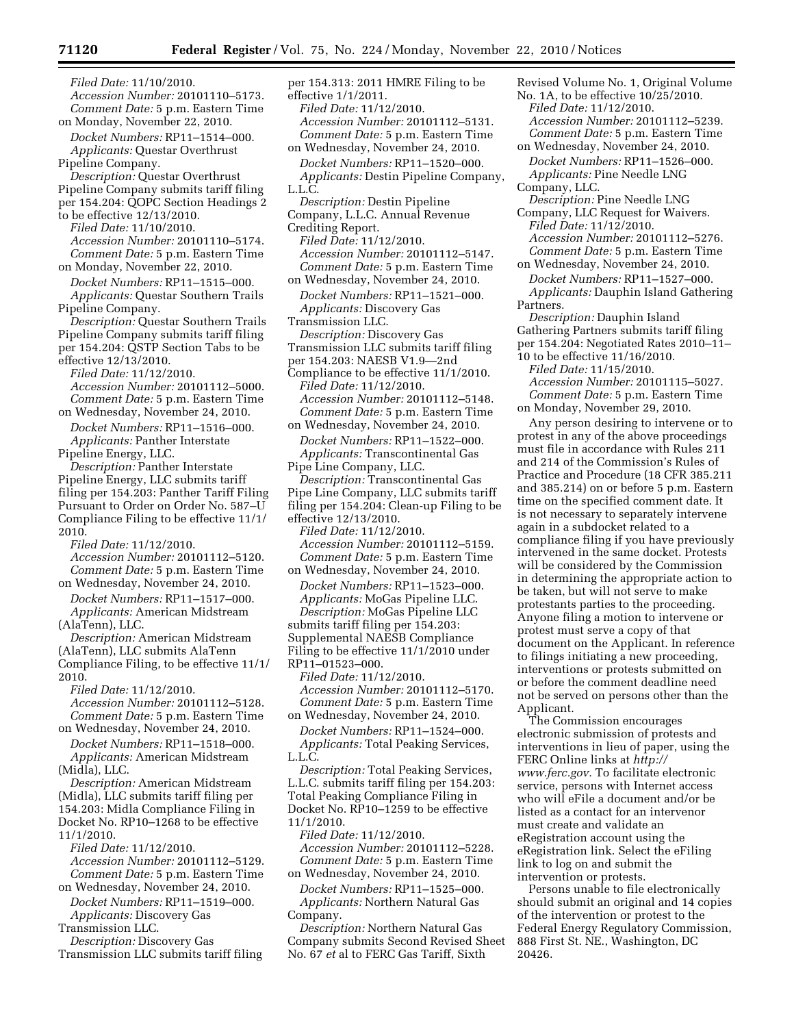*Filed Date:* 11/10/2010. *Accession Number:* 20101110–5173. *Comment Date:* 5 p.m. Eastern Time on Monday, November 22, 2010. *Docket Numbers:* RP11–1514–000. *Applicants:* Questar Overthrust Pipeline Company. *Description:* Questar Overthrust Pipeline Company submits tariff filing per 154.204: QOPC Section Headings 2 to be effective 12/13/2010. *Filed Date:* 11/10/2010. *Accession Number:* 20101110–5174. *Comment Date:* 5 p.m. Eastern Time on Monday, November 22, 2010. *Docket Numbers:* RP11–1515–000. *Applicants:* Questar Southern Trails Pipeline Company. *Description:* Questar Southern Trails Pipeline Company submits tariff filing per 154.204: QSTP Section Tabs to be effective 12/13/2010. *Filed Date:* 11/12/2010. *Accession Number:* 20101112–5000. *Comment Date:* 5 p.m. Eastern Time on Wednesday, November 24, 2010. *Docket Numbers:* RP11–1516–000. *Applicants:* Panther Interstate Pipeline Energy, LLC. *Description:* Panther Interstate Pipeline Energy, LLC submits tariff filing per 154.203: Panther Tariff Filing Pursuant to Order on Order No. 587–U Compliance Filing to be effective 11/1/ 2010. *Filed Date:* 11/12/2010. *Accession Number:* 20101112–5120. *Comment Date:* 5 p.m. Eastern Time on Wednesday, November 24, 2010. *Docket Numbers:* RP11–1517–000. *Applicants:* American Midstream (AlaTenn), LLC. *Description:* American Midstream (AlaTenn), LLC submits AlaTenn Compliance Filing, to be effective 11/1/ 2010. *Filed Date:* 11/12/2010. *Accession Number:* 20101112–5128. *Comment Date:* 5 p.m. Eastern Time on Wednesday, November 24, 2010. *Docket Numbers:* RP11–1518–000. *Applicants:* American Midstream (Midla), LLC. *Description:* American Midstream (Midla), LLC submits tariff filing per 154.203: Midla Compliance Filing in Docket No. RP10–1268 to be effective 11/1/2010. *Filed Date:* 11/12/2010. *Accession Number:* 20101112–5129. *Comment Date:* 5 p.m. Eastern Time on Wednesday, November 24, 2010.

*Docket Numbers:* RP11–1519–000. *Applicants:* Discovery Gas Transmission LLC.

*Description:* Discovery Gas

Transmission LLC submits tariff filing

per 154.313: 2011 HMRE Filing to be effective 1/1/2011. *Filed Date:* 11/12/2010. *Accession Number:* 20101112–5131. *Comment Date:* 5 p.m. Eastern Time on Wednesday, November 24, 2010. *Docket Numbers:* RP11–1520–000. *Applicants:* Destin Pipeline Company, L.L.C.

- *Description:* Destin Pipeline
- Company, L.L.C. Annual Revenue

Crediting Report.

*Filed Date:* 11/12/2010. *Accession Number:* 20101112–5147. *Comment Date:* 5 p.m. Eastern Time on Wednesday, November 24, 2010.

*Docket Numbers:* RP11–1521–000. *Applicants:* Discovery Gas

Transmission LLC.

*Description:* Discovery Gas

Transmission LLC submits tariff filing

per 154.203: NAESB V1.9—2nd

Compliance to be effective 11/1/2010. *Filed Date:* 11/12/2010. *Accession Number:* 20101112–5148. *Comment Date:* 5 p.m. Eastern Time

on Wednesday, November 24, 2010. *Docket Numbers:* RP11–1522–000. *Applicants:* Transcontinental Gas

Pipe Line Company, LLC.

*Description:* Transcontinental Gas Pipe Line Company, LLC submits tariff filing per 154.204: Clean-up Filing to be effective 12/13/2010.

*Filed Date:* 11/12/2010. *Accession Number:* 20101112–5159. *Comment Date:* 5 p.m. Eastern Time

on Wednesday, November 24, 2010. *Docket Numbers:* RP11–1523–000. *Applicants:* MoGas Pipeline LLC. *Description:* MoGas Pipeline LLC submits tariff filing per 154.203: Supplemental NAESB Compliance Filing to be effective 11/1/2010 under RP11–01523–000.

*Filed Date:* 11/12/2010. *Accession Number:* 20101112–5170. *Comment Date:* 5 p.m. Eastern Time on Wednesday, November 24, 2010.

*Docket Numbers:* RP11–1524–000. *Applicants:* Total Peaking Services, L.L.C.

*Description:* Total Peaking Services, L.L.C. submits tariff filing per 154.203: Total Peaking Compliance Filing in Docket No. RP10–1259 to be effective 11/1/2010.

*Filed Date:* 11/12/2010. *Accession Number:* 20101112–5228. *Comment Date:* 5 p.m. Eastern Time

on Wednesday, November 24, 2010. *Docket Numbers:* RP11–1525–000.

*Applicants:* Northern Natural Gas Company.

*Description:* Northern Natural Gas Company submits Second Revised Sheet No. 67 *et* al to FERC Gas Tariff, Sixth

Revised Volume No. 1, Original Volume No. 1A, to be effective 10/25/2010. *Filed Date:* 11/12/2010.

*Accession Number:* 20101112–5239. *Comment Date:* 5 p.m. Eastern Time

on Wednesday, November 24, 2010. *Docket Numbers:* RP11–1526–000. *Applicants:* Pine Needle LNG

Company, LLC. *Description:* Pine Needle LNG

Company, LLC Request for Waivers. *Filed Date:* 11/12/2010. *Accession Number:* 20101112–5276. *Comment Date:* 5 p.m. Eastern Time

on Wednesday, November 24, 2010. *Docket Numbers:* RP11–1527–000. *Applicants:* Dauphin Island Gathering Partners.

*Description:* Dauphin Island Gathering Partners submits tariff filing per 154.204: Negotiated Rates 2010–11– 10 to be effective 11/16/2010.

*Filed Date:* 11/15/2010.

*Accession Number:* 20101115–5027. *Comment Date:* 5 p.m. Eastern Time on Monday, November 29, 2010.

Any person desiring to intervene or to protest in any of the above proceedings must file in accordance with Rules 211 and 214 of the Commission's Rules of Practice and Procedure (18 CFR 385.211 and 385.214) on or before 5 p.m. Eastern time on the specified comment date. It is not necessary to separately intervene again in a subdocket related to a compliance filing if you have previously intervened in the same docket. Protests will be considered by the Commission in determining the appropriate action to be taken, but will not serve to make protestants parties to the proceeding. Anyone filing a motion to intervene or protest must serve a copy of that document on the Applicant. In reference to filings initiating a new proceeding, interventions or protests submitted on or before the comment deadline need not be served on persons other than the Applicant.

The Commission encourages electronic submission of protests and interventions in lieu of paper, using the FERC Online links at *[http://](http://www.ferc.gov)  [www.ferc.gov.](http://www.ferc.gov)* To facilitate electronic service, persons with Internet access who will eFile a document and/or be listed as a contact for an intervenor must create and validate an eRegistration account using the eRegistration link. Select the eFiling link to log on and submit the intervention or protests.

Persons unable to file electronically should submit an original and 14 copies of the intervention or protest to the Federal Energy Regulatory Commission, 888 First St. NE., Washington, DC 20426.